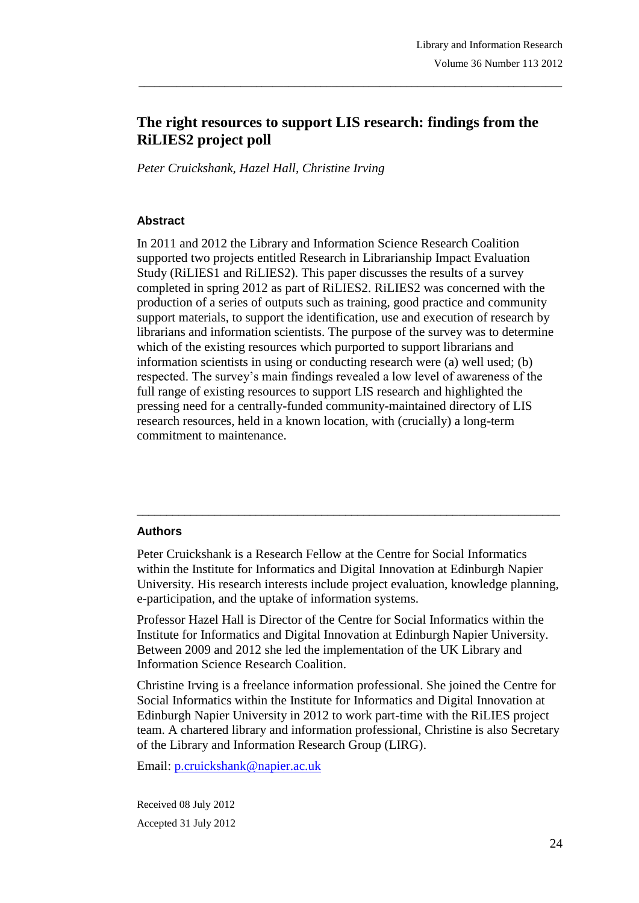# **The right resources to support LIS research: findings from the RiLIES2 project poll**

\_\_\_\_\_\_\_\_\_\_\_\_\_\_\_\_\_\_\_\_\_\_\_\_\_\_\_\_\_\_\_\_\_\_\_\_\_\_\_\_\_\_\_\_\_\_\_\_\_\_\_\_\_\_\_\_\_\_\_\_\_\_\_\_\_\_\_\_\_\_\_\_\_\_\_\_\_\_\_

*Peter Cruickshank, Hazel Hall, Christine Irving*

#### **Abstract**

In 2011 and 2012 the Library and Information Science Research Coalition supported two projects entitled Research in Librarianship Impact Evaluation Study (RiLIES1 and RiLIES2). This paper discusses the results of a survey completed in spring 2012 as part of RiLIES2. RiLIES2 was concerned with the production of a series of outputs such as training, good practice and community support materials, to support the identification, use and execution of research by librarians and information scientists. The purpose of the survey was to determine which of the existing resources which purported to support librarians and information scientists in using or conducting research were (a) well used; (b) respected. The survey's main findings revealed a low level of awareness of the full range of existing resources to support LIS research and highlighted the pressing need for a centrally-funded community-maintained directory of LIS research resources, held in a known location, with (crucially) a long-term commitment to maintenance.

#### **Authors**

Peter Cruickshank is a Research Fellow at the Centre for Social Informatics within the Institute for Informatics and Digital Innovation at Edinburgh Napier University. His research interests include project evaluation, knowledge planning, e-participation, and the uptake of information systems.

\_\_\_\_\_\_\_\_\_\_\_\_\_\_\_\_\_\_\_\_\_\_\_\_\_\_\_\_\_\_\_\_\_\_\_\_\_\_\_\_\_\_\_\_\_\_\_\_\_\_\_\_\_\_\_\_\_\_\_\_\_\_\_\_\_\_\_\_\_\_\_

Professor Hazel Hall is Director of the Centre for Social Informatics within the Institute for Informatics and Digital Innovation at Edinburgh Napier University. Between 2009 and 2012 she led the implementation of the UK Library and Information Science Research Coalition.

Christine Irving is a freelance information professional. She joined the Centre for Social Informatics within the Institute for Informatics and Digital Innovation at Edinburgh Napier University in 2012 to work part-time with the RiLIES project team. A chartered library and information professional, Christine is also Secretary of the Library and Information Research Group (LIRG).

Email: p.cruickshank@napier.ac.uk

Received 08 July 2012 Accepted 31 July 2012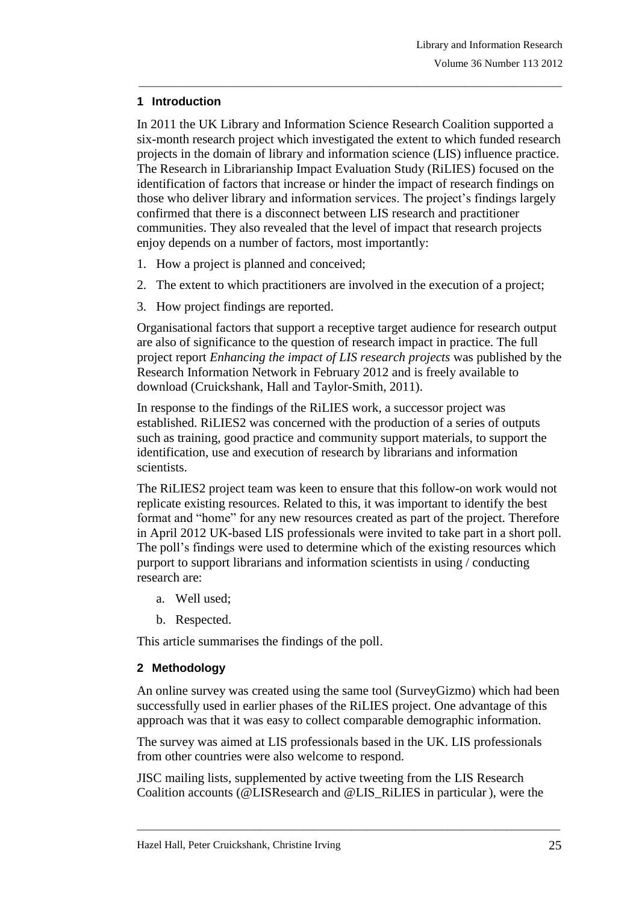# **1 Introduction**

In 2011 the UK Library and Information Science Research Coalition supported a six-month research project which investigated the extent to which funded research projects in the domain of library and information science (LIS) influence practice. The Research in Librarianship Impact Evaluation Study (RiLIES) focused on the identification of factors that increase or hinder the impact of research findings on those who deliver library and information services. The project's findings largely confirmed that there is a disconnect between LIS research and practitioner communities. They also revealed that the level of impact that research projects enjoy depends on a number of factors, most importantly:

\_\_\_\_\_\_\_\_\_\_\_\_\_\_\_\_\_\_\_\_\_\_\_\_\_\_\_\_\_\_\_\_\_\_\_\_\_\_\_\_\_\_\_\_\_\_\_\_\_\_\_\_\_\_\_\_\_\_\_\_\_\_\_\_\_\_\_\_\_\_\_\_\_\_\_\_\_\_\_

- 1. How a project is planned and conceived;
- 2. The extent to which practitioners are involved in the execution of a project;
- 3. How project findings are reported.

Organisational factors that support a receptive target audience for research output are also of significance to the question of research impact in practice. The full project report *Enhancing the impact of LIS research projects* was published by the Research Information Network in February 2012 and is freely available to download (Cruickshank, Hall and Taylor-Smith, 2011).

In response to the findings of the RiLIES work, a successor project was established. RiLIES2 was concerned with the production of a series of outputs such as training, good practice and community support materials, to support the identification, use and execution of research by librarians and information scientists.

The RiLIES2 project team was keen to ensure that this follow-on work would not replicate existing resources. Related to this, it was important to identify the best format and "home" for any new resources created as part of the project. Therefore in April 2012 UK-based LIS professionals were invited to take part in a short poll. The poll's findings were used to determine which of the existing resources which purport to support librarians and information scientists in using / conducting research are:

- a. Well used;
- b. Respected.

This article summarises the findings of the poll.

# **2 Methodology**

An online survey was created using the same tool (SurveyGizmo) which had been successfully used in earlier phases of the RiLIES project. One advantage of this approach was that it was easy to collect comparable demographic information.

The survey was aimed at LIS professionals based in the UK. LIS professionals from other countries were also welcome to respond.

JISC mailing lists, supplemented by active tweeting from the LIS Research Coalition accounts (@LISResearch and @LIS\_RiLIES in particular ), were the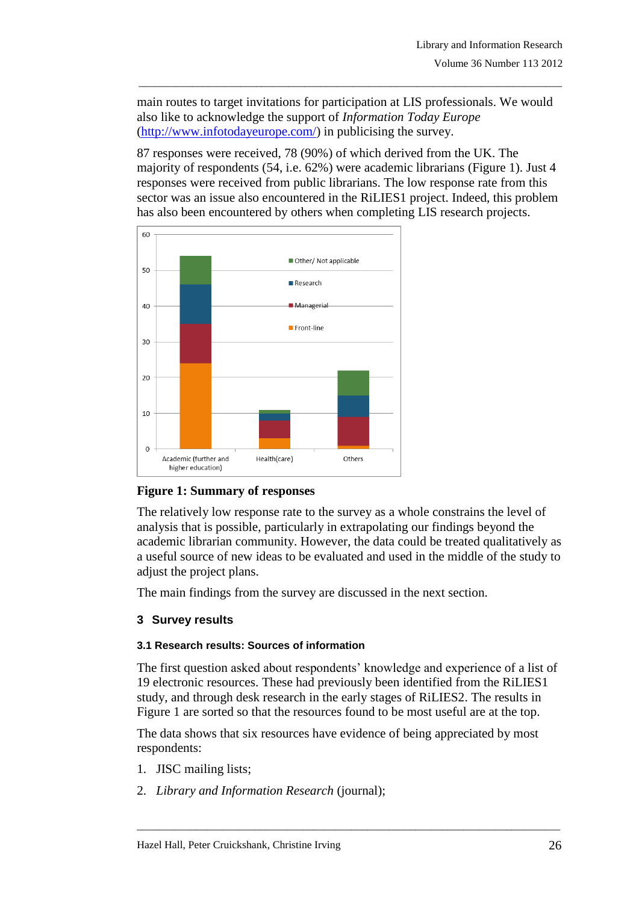main routes to target invitations for participation at LIS professionals. We would also like to acknowledge the support of *Information Today Europe* [\(http://www.infotodayeurope.com/\)](http://www.infotodayeurope.com/) in publicising the survey.

\_\_\_\_\_\_\_\_\_\_\_\_\_\_\_\_\_\_\_\_\_\_\_\_\_\_\_\_\_\_\_\_\_\_\_\_\_\_\_\_\_\_\_\_\_\_\_\_\_\_\_\_\_\_\_\_\_\_\_\_\_\_\_\_\_\_\_\_\_\_\_\_\_\_\_\_\_\_\_

87 responses were received, 78 (90%) of which derived from the UK. The majority of respondents (54, i.e. 62%) were academic librarians (Figure 1). Just 4 responses were received from public librarians. The low response rate from this sector was an issue also encountered in the RiLIES1 project. Indeed, this problem has also been encountered by others when completing LIS research projects.



# **Figure 1: Summary of responses**

The relatively low response rate to the survey as a whole constrains the level of analysis that is possible, particularly in extrapolating our findings beyond the academic librarian community. However, the data could be treated qualitatively as a useful source of new ideas to be evaluated and used in the middle of the study to adjust the project plans.

The main findings from the survey are discussed in the next section.

# **3 Survey results**

# **3.1 Research results: Sources of information**

The first question asked about respondents' knowledge and experience of a list of 19 electronic resources. These had previously been identified from the RiLIES1 study, and through desk research in the early stages of RiLIES2. The results in Figure 1 are sorted so that the resources found to be most useful are at the top.

The data shows that six resources have evidence of being appreciated by most respondents:

- 1. JISC mailing lists;
- 2. *Library and Information Research* (journal);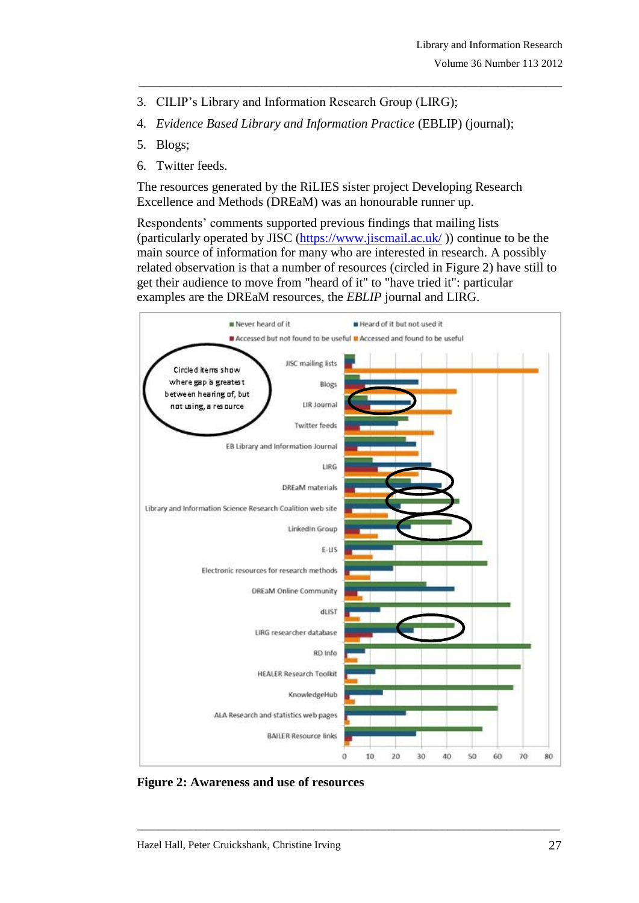- 3. CILIP's Library and Information Research Group (LIRG);
- 4. *Evidence Based Library and Information Practice* (EBLIP) (journal);

\_\_\_\_\_\_\_\_\_\_\_\_\_\_\_\_\_\_\_\_\_\_\_\_\_\_\_\_\_\_\_\_\_\_\_\_\_\_\_\_\_\_\_\_\_\_\_\_\_\_\_\_\_\_\_\_\_\_\_\_\_\_\_\_\_\_\_\_\_\_\_\_\_\_\_\_\_\_\_

- 5. Blogs;
- 6. Twitter feeds.

The resources generated by the RiLIES sister project Developing Research Excellence and Methods (DREaM) was an honourable runner up.

Respondents' comments supported previous findings that mailing lists (particularly operated by JISC [\(https://www.jiscmail.ac.uk/](https://www.jiscmail.ac.uk/) )) continue to be the main source of information for many who are interested in research. A possibly related observation is that a number of resources (circled in Figure 2) have still to get their audience to move from "heard of it" to "have tried it": particular examples are the DREaM resources, the *EBLIP* journal and LIRG.



**Figure 2: Awareness and use of resources**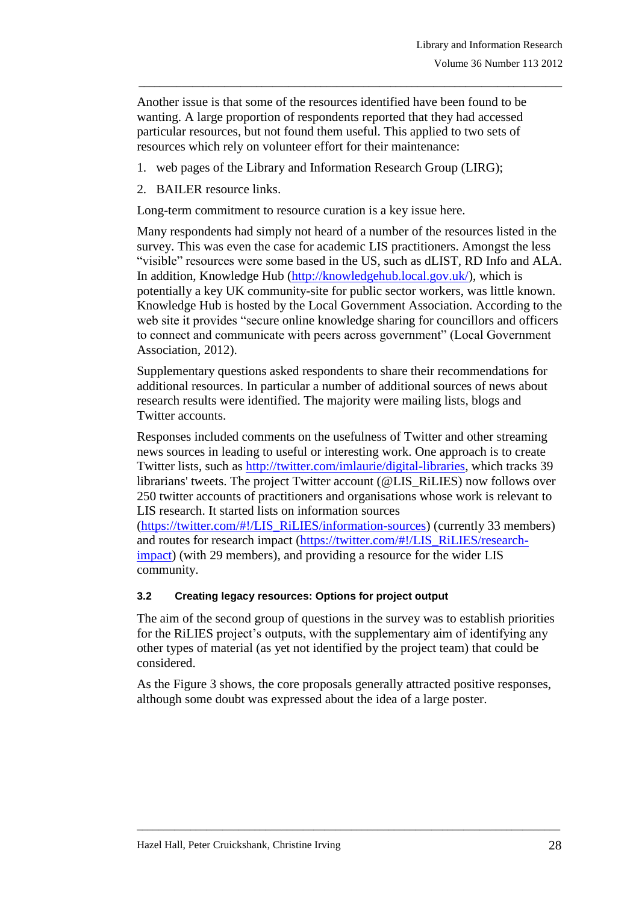Another issue is that some of the resources identified have been found to be wanting. A large proportion of respondents reported that they had accessed particular resources, but not found them useful. This applied to two sets of resources which rely on volunteer effort for their maintenance:

\_\_\_\_\_\_\_\_\_\_\_\_\_\_\_\_\_\_\_\_\_\_\_\_\_\_\_\_\_\_\_\_\_\_\_\_\_\_\_\_\_\_\_\_\_\_\_\_\_\_\_\_\_\_\_\_\_\_\_\_\_\_\_\_\_\_\_\_\_\_\_\_\_\_\_\_\_\_\_

- 1. web pages of the Library and Information Research Group (LIRG);
- 2. BAILER resource links.

Long-term commitment to resource curation is a key issue here.

Many respondents had simply not heard of a number of the resources listed in the survey. This was even the case for academic LIS practitioners. Amongst the less "visible" resources were some based in the US, such as dLIST, RD Info and ALA. In addition, Knowledge Hub [\(http://knowledgehub.local.gov.uk/\)](http://knowledgehub.local.gov.uk/), which is potentially a key UK community-site for public sector workers, was little known. Knowledge Hub is hosted by the Local Government Association. According to the web site it provides "secure online knowledge sharing for councillors and officers to connect and communicate with peers across government" (Local Government Association, 2012).

Supplementary questions asked respondents to share their recommendations for additional resources. In particular a number of additional sources of news about research results were identified. The majority were mailing lists, blogs and Twitter accounts.

Responses included comments on the usefulness of Twitter and other streaming news sources in leading to useful or interesting work. One approach is to create Twitter lists, such as [http://twitter.com/imlaurie/digital-libraries,](http://twitter.com/imlaurie/digital-libraries) which tracks 39 librarians' tweets. The project Twitter account (@LIS\_RiLIES) now follows over 250 twitter accounts of practitioners and organisations whose work is relevant to LIS research. It started lists on information sources

[\(https://twitter.com/#!/LIS\\_RiLIES/information-sources\)](https://twitter.com/#!/LIS_RiLIES/information-sources) (currently 33 members) and routes for research impact [\(https://twitter.com/#!/LIS\\_RiLIES/research](https://twitter.com/#!/LIS_RiLIES/research-impact)[impact\)](https://twitter.com/#!/LIS_RiLIES/research-impact) (with 29 members), and providing a resource for the wider LIS community.

#### **3.2 Creating legacy resources: Options for project output**

The aim of the second group of questions in the survey was to establish priorities for the RiLIES project's outputs, with the supplementary aim of identifying any other types of material (as yet not identified by the project team) that could be considered.

As the Figure 3 shows, the core proposals generally attracted positive responses, although some doubt was expressed about the idea of a large poster.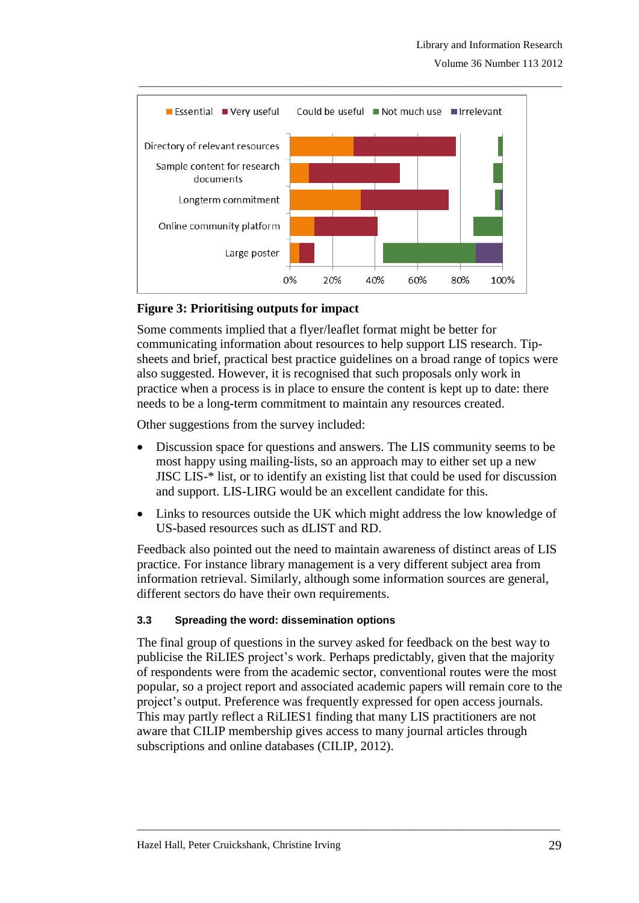

#### **Figure 3: Prioritising outputs for impact**

Some comments implied that a flyer/leaflet format might be better for communicating information about resources to help support LIS research. Tipsheets and brief, practical best practice guidelines on a broad range of topics were also suggested. However, it is recognised that such proposals only work in practice when a process is in place to ensure the content is kept up to date: there needs to be a long-term commitment to maintain any resources created.

Other suggestions from the survey included:

- Discussion space for questions and answers. The LIS community seems to be most happy using mailing-lists, so an approach may to either set up a new JISC LIS-\* list, or to identify an existing list that could be used for discussion and support. LIS-LIRG would be an excellent candidate for this.
- Links to resources outside the UK which might address the low knowledge of US-based resources such as dLIST and RD.

Feedback also pointed out the need to maintain awareness of distinct areas of LIS practice. For instance library management is a very different subject area from information retrieval. Similarly, although some information sources are general, different sectors do have their own requirements.

#### **3.3 Spreading the word: dissemination options**

The final group of questions in the survey asked for feedback on the best way to publicise the RiLIES project's work. Perhaps predictably, given that the majority of respondents were from the academic sector, conventional routes were the most popular, so a project report and associated academic papers will remain core to the project's output. Preference was frequently expressed for open access journals. This may partly reflect a RiLIES1 finding that many LIS practitioners are not aware that CILIP membership gives access to many journal articles through subscriptions and online databases (CILIP, 2012).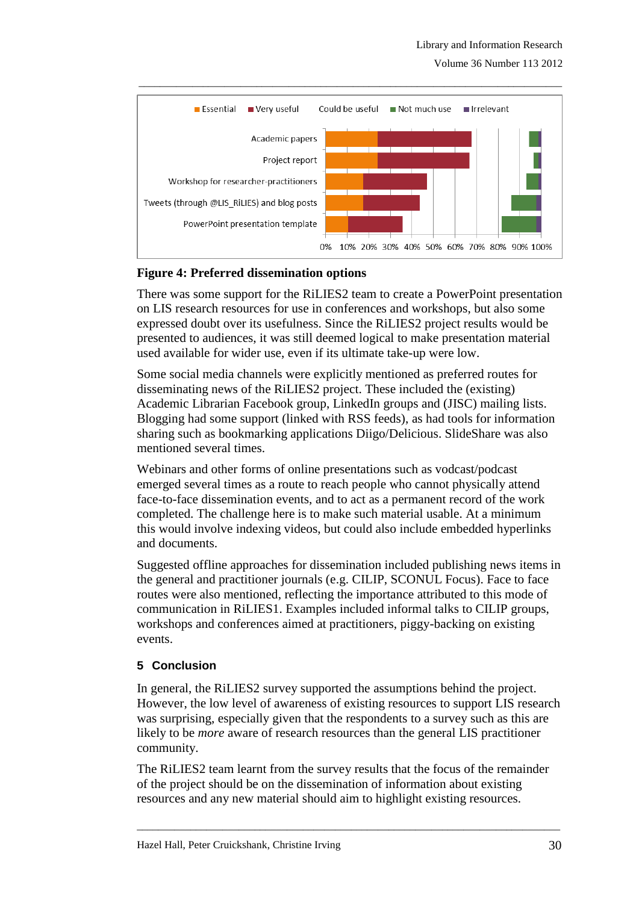Volume 36 Number 113 2012



# **Figure 4: Preferred dissemination options**

There was some support for the RiLIES2 team to create a PowerPoint presentation on LIS research resources for use in conferences and workshops, but also some expressed doubt over its usefulness. Since the RiLIES2 project results would be presented to audiences, it was still deemed logical to make presentation material used available for wider use, even if its ultimate take-up were low.

Some social media channels were explicitly mentioned as preferred routes for disseminating news of the RiLIES2 project. These included the (existing) Academic Librarian Facebook group, LinkedIn groups and (JISC) mailing lists. Blogging had some support (linked with RSS feeds), as had tools for information sharing such as bookmarking applications Diigo/Delicious. SlideShare was also mentioned several times.

Webinars and other forms of online presentations such as vodcast/podcast emerged several times as a route to reach people who cannot physically attend face-to-face dissemination events, and to act as a permanent record of the work completed. The challenge here is to make such material usable. At a minimum this would involve indexing videos, but could also include embedded hyperlinks and documents.

Suggested offline approaches for dissemination included publishing news items in the general and practitioner journals (e.g. CILIP, SCONUL Focus). Face to face routes were also mentioned, reflecting the importance attributed to this mode of communication in RiLIES1. Examples included informal talks to CILIP groups, workshops and conferences aimed at practitioners, piggy-backing on existing events.

#### **5 Conclusion**

In general, the RiLIES2 survey supported the assumptions behind the project. However, the low level of awareness of existing resources to support LIS research was surprising, especially given that the respondents to a survey such as this are likely to be *more* aware of research resources than the general LIS practitioner community.

The RiLIES2 team learnt from the survey results that the focus of the remainder of the project should be on the dissemination of information about existing resources and any new material should aim to highlight existing resources.